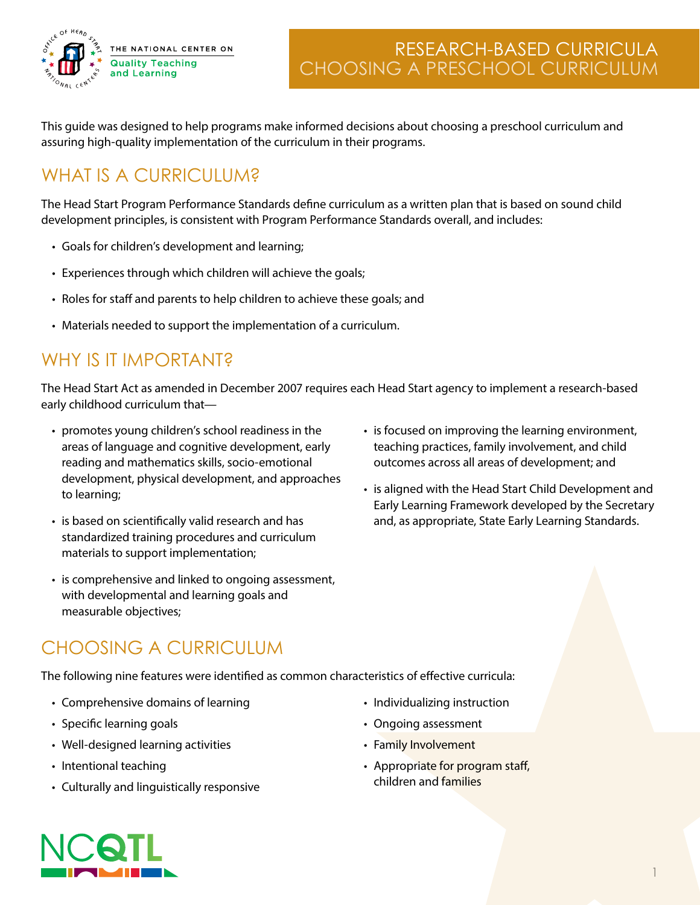

This guide was designed to help programs make informed decisions about choosing a preschool curriculum and assuring high-quality implementation of the curriculum in their programs.

# WHAT IS A CURRICULUM?

The Head Start Program Performance Standards define curriculum as a written plan that is based on sound child development principles, is consistent with Program Performance Standards overall, and includes:

- Goals for children's development and learning;
- Experiences through which children will achieve the goals;
- Roles for staff and parents to help children to achieve these goals; and
- Materials needed to support the implementation of a curriculum.

# WHY IS IT IMPORTANT?

The Head Start Act as amended in December 2007 requires each Head Start agency to implement a research-based early childhood curriculum that—

- promotes young children's school readiness in the areas of language and cognitive development, early reading and mathematics skills, socio-emotional development, physical development, and approaches to learning;
- is based on scientifically valid research and has standardized training procedures and curriculum materials to support implementation;
- is comprehensive and linked to ongoing assessment, with developmental and learning goals and measurable objectives;
- is focused on improving the learning environment, teaching practices, family involvement, and child outcomes across all areas of development; and
- is aligned with the Head Start Child Development and Early Learning Framework developed by the Secretary and, as appropriate, State Early Learning Standards.

1

# CHOOSING A CURRICULUM

The following nine features were identified as common characteristics of effective curricula:

- Comprehensive domains of learning
- Specific learning goals
- Well-designed learning activities
- Intentional teaching
- Culturally and linguistically responsive
- Individualizing instruction
- Ongoing assessment
- Family Involvement
- Appropriate for program staff, children and families

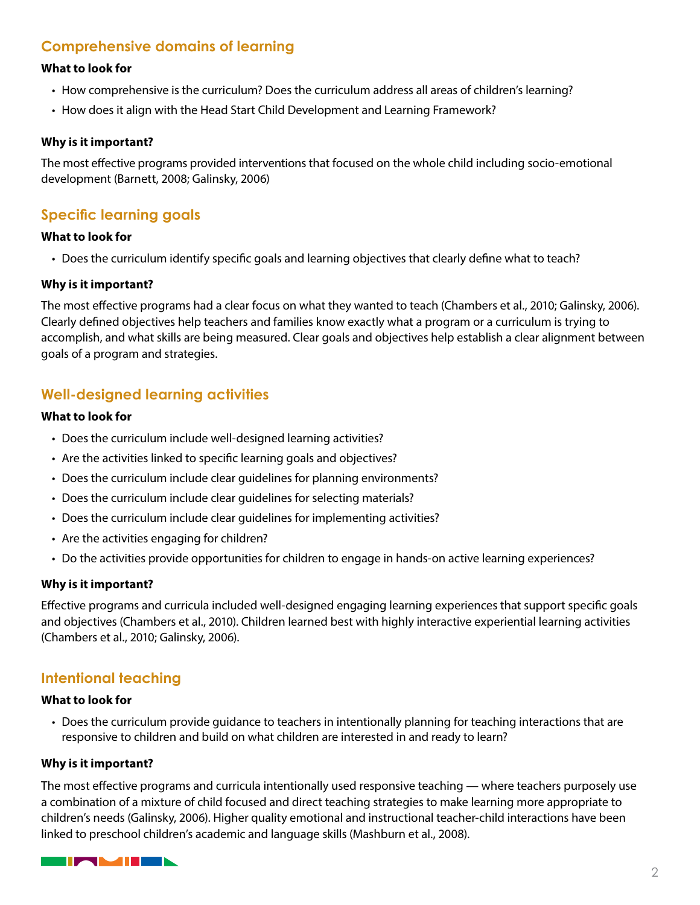## **Comprehensive domains of learning**

## **What to look for**

- How comprehensive is the curriculum? Does the curriculum address all areas of children's learning?
- How does it align with the Head Start Child Development and Learning Framework?

## **Why is it important?**

The most effective programs provided interventions that focused on the whole child including socio-emotional development (Barnett, 2008; Galinsky, 2006)

## **Specific learning goals**

## **What to look for**

• Does the curriculum identify specific goals and learning objectives that clearly define what to teach?

## **Why is it important?**

The most effective programs had a clear focus on what they wanted to teach (Chambers et al., 2010; Galinsky, 2006). Clearly defined objectives help teachers and families know exactly what a program or a curriculum is trying to accomplish, and what skills are being measured. Clear goals and objectives help establish a clear alignment between goals of a program and strategies.

## **Well-designed learning activities**

### **What to look for**

- Does the curriculum include well-designed learning activities?
- Are the activities linked to specific learning goals and objectives?
- Does the curriculum include clear guidelines for planning environments?
- Does the curriculum include clear guidelines for selecting materials?
- Does the curriculum include clear guidelines for implementing activities?
- Are the activities engaging for children?
- Do the activities provide opportunities for children to engage in hands-on active learning experiences?

## **Why is it important?**

Effective programs and curricula included well-designed engaging learning experiences that support specific goals and objectives (Chambers et al., 2010). Children learned best with highly interactive experiential learning activities (Chambers et al., 2010; Galinsky, 2006).

## **Intentional teaching**

### **What to look for**

• Does the curriculum provide guidance to teachers in intentionally planning for teaching interactions that are responsive to children and build on what children are interested in and ready to learn?

### **Why is it important?**

The most effective programs and curricula intentionally used responsive teaching — where teachers purposely use a combination of a mixture of child focused and direct teaching strategies to make learning more appropriate to children's needs (Galinsky, 2006). Higher quality emotional and instructional teacher-child interactions have been linked to preschool children's academic and language skills (Mashburn et al., 2008).

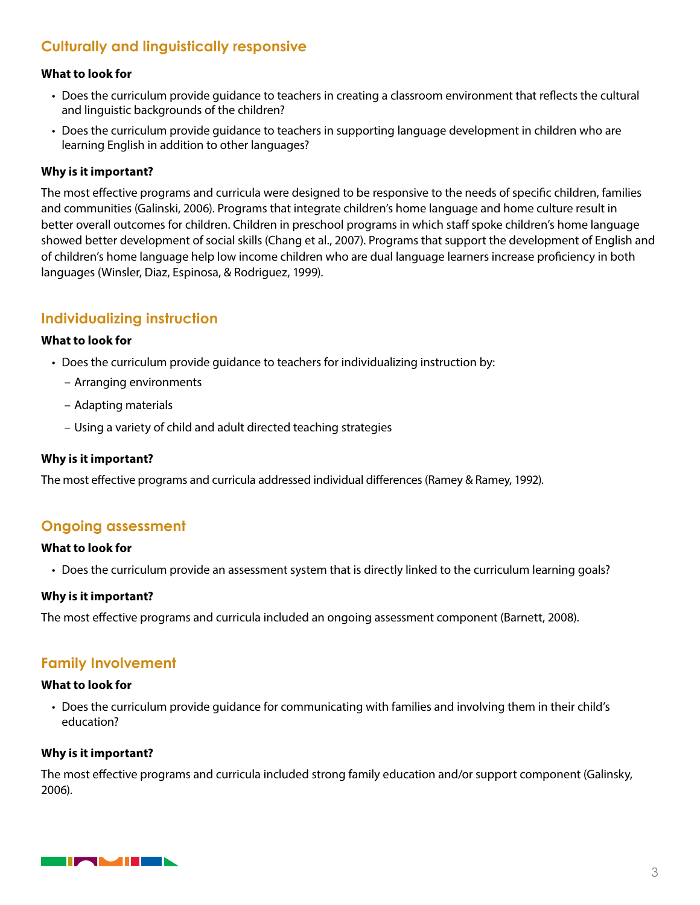## **Culturally and linguistically responsive**

## **What to look for**

- Does the curriculum provide guidance to teachers in creating a classroom environment that reflects the cultural and linguistic backgrounds of the children?
- Does the curriculum provide guidance to teachers in supporting language development in children who are learning English in addition to other languages?

## **Why is it important?**

The most effective programs and curricula were designed to be responsive to the needs of specific children, families and communities (Galinski, 2006). Programs that integrate children's home language and home culture result in better overall outcomes for children. Children in preschool programs in which staff spoke children's home language showed better development of social skills (Chang et al., 2007). Programs that support the development of English and of children's home language help low income children who are dual language learners increase proficiency in both languages (Winsler, Diaz, Espinosa, & Rodriguez, 1999).

## **Individualizing instruction**

### **What to look for**

- Does the curriculum provide guidance to teachers for individualizing instruction by:
	- Arranging environments
	- Adapting materials
	- Using a variety of child and adult directed teaching strategies

## **Why is it important?**

The most effective programs and curricula addressed individual differences (Ramey & Ramey, 1992).

## **Ongoing assessment**

### **What to look for**

• Does the curriculum provide an assessment system that is directly linked to the curriculum learning goals?

### **Why is it important?**

The most effective programs and curricula included an ongoing assessment component (Barnett, 2008).

## **Family Involvement**

### **What to look for**

• Does the curriculum provide guidance for communicating with families and involving them in their child's education?

### **Why is it important?**

The most effective programs and curricula included strong family education and/or support component (Galinsky, 2006).

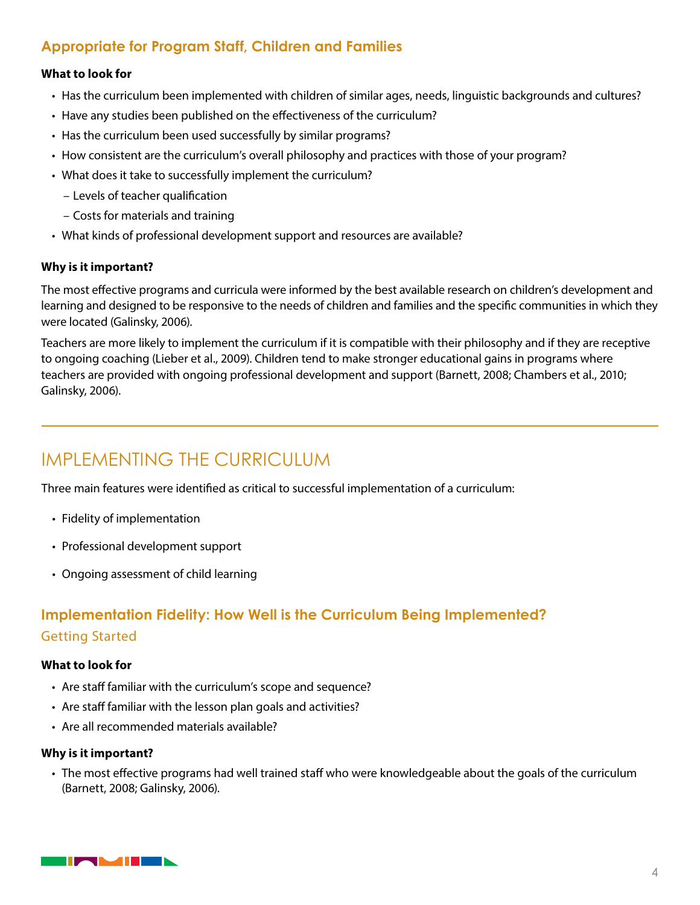## **Appropriate for Program Staff, Children and Families**

## **What to look for**

- Has the curriculum been implemented with children of similar ages, needs, linguistic backgrounds and cultures?
- Have any studies been published on the effectiveness of the curriculum?
- Has the curriculum been used successfully by similar programs?
- How consistent are the curriculum's overall philosophy and practices with those of your program?
- What does it take to successfully implement the curriculum?
	- Levels of teacher qualification
	- Costs for materials and training
- What kinds of professional development support and resources are available?

## **Why is it important?**

The most effective programs and curricula were informed by the best available research on children's development and learning and designed to be responsive to the needs of children and families and the specific communities in which they were located (Galinsky, 2006).

Teachers are more likely to implement the curriculum if it is compatible with their philosophy and if they are receptive to ongoing coaching (Lieber et al., 2009). Children tend to make stronger educational gains in programs where teachers are provided with ongoing professional development and support (Barnett, 2008; Chambers et al., 2010; Galinsky, 2006).

# IMPLEMENTING THE CURRICULUM

Three main features were identified as critical to successful implementation of a curriculum:

- Fidelity of implementation
- Professional development support
- Ongoing assessment of child learning

## **Implementation Fidelity: How Well is the Curriculum Being Implemented?** Getting Started

## **What to look for**

- Are staff familiar with the curriculum's scope and sequence?
- Are staff familiar with the lesson plan goals and activities?
- Are all recommended materials available?

### **Why is it important?**

• The most effective programs had well trained staff who were knowledgeable about the goals of the curriculum (Barnett, 2008; Galinsky, 2006).

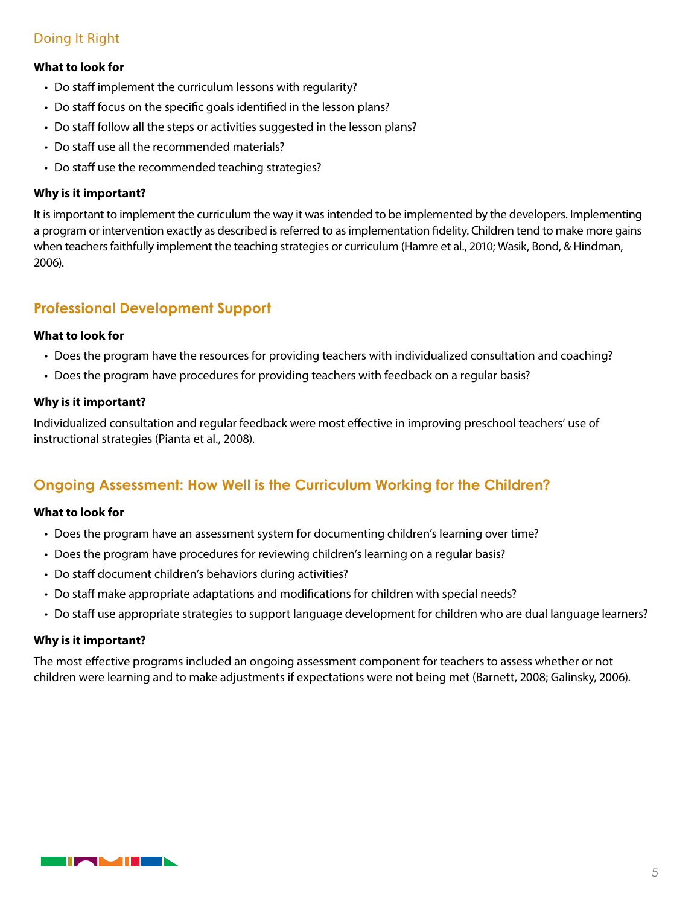## Doing It Right

## **What to look for**

- Do staff implement the curriculum lessons with regularity?
- Do staff focus on the specific goals identified in the lesson plans?
- Do staff follow all the steps or activities suggested in the lesson plans?
- Do staff use all the recommended materials?
- Do staff use the recommended teaching strategies?

## **Why is it important?**

It is important to implement the curriculum the way it was intended to be implemented by the developers. Implementing a program or intervention exactly as described is referred to as implementation fidelity. Children tend to make more gains when teachers faithfully implement the teaching strategies or curriculum (Hamre et al., 2010; Wasik, Bond, & Hindman, 2006).

## **Professional Development Support**

### **What to look for**

- Does the program have the resources for providing teachers with individualized consultation and coaching?
- Does the program have procedures for providing teachers with feedback on a regular basis?

## **Why is it important?**

Individualized consultation and regular feedback were most effective in improving preschool teachers' use of instructional strategies (Pianta et al., 2008).

## **Ongoing Assessment: How Well is the Curriculum Working for the Children?**

### **What to look for**

- Does the program have an assessment system for documenting children's learning over time?
- Does the program have procedures for reviewing children's learning on a regular basis?
- Do staff document children's behaviors during activities?
- Do staff make appropriate adaptations and modifications for children with special needs?
- Do staff use appropriate strategies to support language development for children who are dual language learners?

### **Why is it important?**

The most effective programs included an ongoing assessment component for teachers to assess whether or not children were learning and to make adjustments if expectations were not being met (Barnett, 2008; Galinsky, 2006).